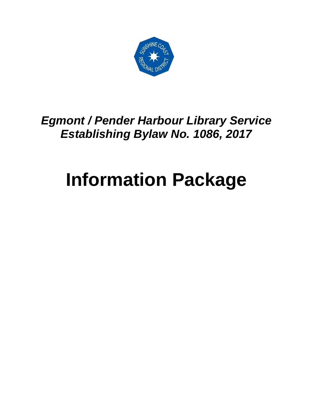

# *Egmont / Pender Harbour Library Service Establishing Bylaw No. 1086, 2017*

# **Information Package**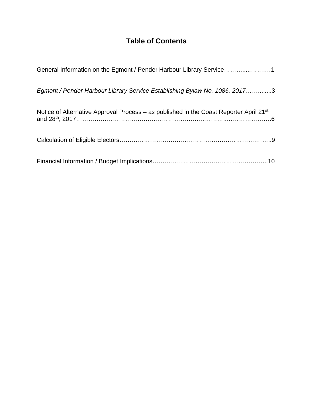# **Table of Contents**

| General Information on the Egmont / Pender Harbour Library Service1                                |
|----------------------------------------------------------------------------------------------------|
| Egmont / Pender Harbour Library Service Establishing Bylaw No. 1086, 20173                         |
| Notice of Alternative Approval Process – as published in the Coast Reporter April 21 <sup>st</sup> |
|                                                                                                    |
|                                                                                                    |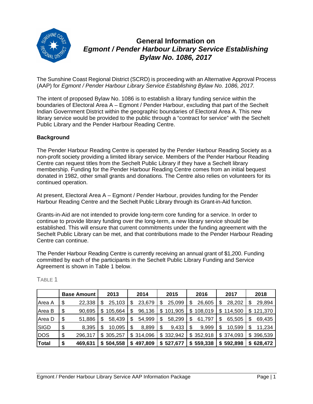

## **General Information on**  *Egmont / Pender Harbour Library Service Establishing Bylaw No. 1086, 2017*

The Sunshine Coast Regional District (SCRD) is proceeding with an Alternative Approval Process (AAP) for *Egmont / Pender Harbour Library Service Establishing Bylaw No. 1086, 2017.* 

The intent of proposed Bylaw No. 1086 is to establish a library funding service within the boundaries of Electoral Area A – Egmont / Pender Harbour, excluding that part of the Sechelt Indian Government District within the geographic boundaries of Electoral Area A. This new library service would be provided to the public through a "contract for service" with the Sechelt Public Library and the Pender Harbour Reading Centre.

#### **Background**

The Pender Harbour Reading Centre is operated by the Pender Harbour Reading Society as a non-profit society providing a limited library service. Members of the Pender Harbour Reading Centre can request titles from the Sechelt Public Library if they have a Sechelt library membership. Funding for the Pender Harbour Reading Centre comes from an initial bequest donated in 1982, other small grants and donations. The Centre also relies on volunteers for its continued operation.

At present, Electoral Area A – Egmont / Pender Harbour, provides funding for the Pender Harbour Reading Centre and the Sechelt Public Library through its Grant-in-Aid function.

Grants-in-Aid are not intended to provide long-term core funding for a service. In order to continue to provide library funding over the long-term, a new library service should be established. This will ensure that current commitments under the funding agreement with the Sechelt Public Library can be met, and that contributions made to the Pender Harbour Reading Centre can continue.

The Pender Harbour Reading Centre is currently receiving an annual grant of \$1,200. Funding committed by each of the participants in the Sechelt Public Library Funding and Service Agreement is shown in Table 1 below.

|               | <b>Base Amount</b> |    | 2013      |     | 2014    |    | 2015      |     | 2016      |   | 2017      |     | 2018      |
|---------------|--------------------|----|-----------|-----|---------|----|-----------|-----|-----------|---|-----------|-----|-----------|
| <b>Area A</b> | \$<br>22,338       |    | 25,103    |     | 23,679  |    | 25,099    | S   | 26,605    |   | 28,202    |     | 29,894    |
| Area B        | \$<br>90,695       |    | 105,664   |     | 96,136  | S. | 101,905   | \$. | 108,019   | S | 114,500   | \$. | 121,370   |
| Area D        | \$<br>51,886       |    | 58,439    |     | 54,999  |    | 58,299    | S   | 61,797    |   | 65,505    |     | 69,435    |
| <b>SIGD</b>   | \$<br>8,395        |    | 10,095    |     | 8,899   |    | 9,433     | S   | 9,999     |   | 10,599    |     | 11,234    |
| <b>DOS</b>    | \$<br>296.317      |    | \$305,257 | \$. | 314,096 |    | \$332,942 |     | \$352,918 |   | \$374,093 |     | \$396,539 |
| <b>Total</b>  | \$<br>469,631      | S. | 504,558   | S.  | 497,809 |    | \$527,677 |     | \$559,338 | S | 592,898   |     | \$628,472 |

TABLE 1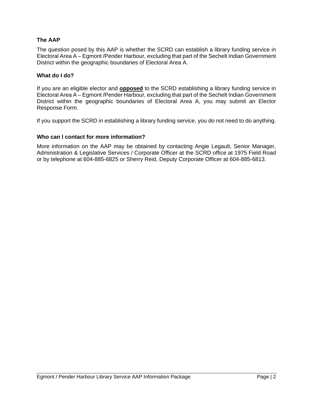#### **The AAP**

The question posed by this AAP is whether the SCRD can establish a library funding service in Electoral Area A – Egmont /Pender Harbour, excluding that part of the Sechelt Indian Government District within the geographic boundaries of Electoral Area A.

#### **What do I do?**

If you are an eligible elector and **opposed** to the SCRD establishing a library funding service in Electoral Area A – Egmont /Pender Harbour, excluding that part of the Sechelt Indian Government District within the geographic boundaries of Electoral Area A, you may submit an Elector Response Form.

If you support the SCRD in establishing a library funding service, you do not need to do anything.

#### **Who can I contact for more information?**

More information on the AAP may be obtained by contacting Angie Legault, Senior Manager, Administration & Legislative Services / Corporate Officer at the SCRD office at 1975 Field Road or by telephone at 604-885-6825 or Sherry Reid, Deputy Corporate Officer at 604-885-6813.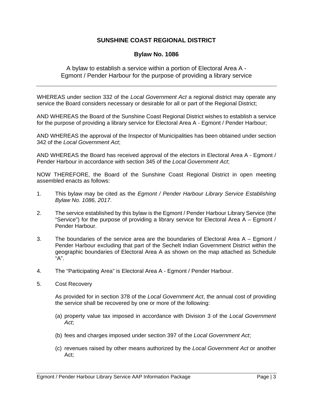#### **SUNSHINE COAST REGIONAL DISTRICT**

#### **Bylaw No. 1086**

A bylaw to establish a service within a portion of Electoral Area A - Egmont / Pender Harbour for the purpose of providing a library service

WHEREAS under section 332 of the *Local Government Act* a regional district may operate any service the Board considers necessary or desirable for all or part of the Regional District;

AND WHEREAS the Board of the Sunshine Coast Regional District wishes to establish a service for the purpose of providing a library service for Electoral Area A - Egmont / Pender Harbour;

AND WHEREAS the approval of the Inspector of Municipalities has been obtained under section 342 of the *Local Government Act*;

AND WHEREAS the Board has received approval of the electors in Electoral Area A - Egmont / Pender Harbour in accordance with section 345 of the *Local Government Act*;

NOW THEREFORE, the Board of the Sunshine Coast Regional District in open meeting assembled enacts as follows:

- 1. This bylaw may be cited as the *Egmont / Pender Harbour Library Service Establishing Bylaw No. 1086, 2017*.
- 2. The service established by this bylaw is the Egmont / Pender Harbour Library Service (the "Service") for the purpose of providing a library service for Electoral Area A – Egmont / Pender Harbour.
- 3. The boundaries of the service area are the boundaries of Electoral Area A Egmont / Pender Harbour excluding that part of the Sechelt Indian Government District within the geographic boundaries of Electoral Area A as shown on the map attached as Schedule "A".
- 4. The "Participating Area" is Electoral Area A Egmont / Pender Harbour.
- 5. Cost Recovery

As provided for in section 378 of the *Local Government Act*, the annual cost of providing the service shall be recovered by one or more of the following:

- (a) property value tax imposed in accordance with Division 3 of the *Local Government Act*;
- (b) fees and charges imposed under section 397 of the *Local Government Act*;
- (c) revenues raised by other means authorized by the *Local Government Act* or another Act;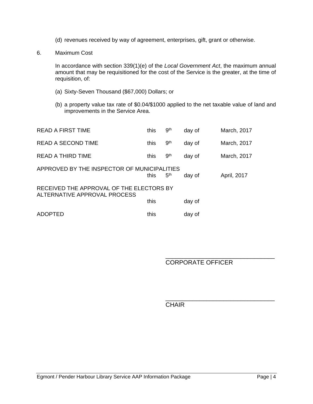- (d) revenues received by way of agreement, enterprises, gift, grant or otherwise.
- 6. Maximum Cost

In accordance with section 339(1)(e) of the *Local Government Act*, the maximum annual amount that may be requisitioned for the cost of the Service is the greater, at the time of requisition, of:

- (a) Sixty-Seven Thousand (\$67,000) Dollars; or
- (b) a property value tax rate of \$0.04/\$1000 applied to the net taxable value of land and improvements in the Service Area.

| <b>READ A FIRST TIME</b>                                                 | this | 9 <sup>th</sup> | day of | March, 2017 |  |  |  |  |  |  |  |
|--------------------------------------------------------------------------|------|-----------------|--------|-------------|--|--|--|--|--|--|--|
| READ A SECOND TIME                                                       | this | 9 <sup>th</sup> | day of | March, 2017 |  |  |  |  |  |  |  |
| READ A THIRD TIME                                                        | this | 9 <sup>th</sup> | day of | March, 2017 |  |  |  |  |  |  |  |
| APPROVED BY THE INSPECTOR OF MUNICIPALITIES                              | this | 5 <sup>th</sup> | day of | April, 2017 |  |  |  |  |  |  |  |
| RECEIVED THE APPROVAL OF THE ELECTORS BY<br>ALTERNATIVE APPROVAL PROCESS |      |                 |        |             |  |  |  |  |  |  |  |
|                                                                          | this |                 | day of |             |  |  |  |  |  |  |  |
| ADOPTED                                                                  | this |                 | day of |             |  |  |  |  |  |  |  |

 $\overline{\phantom{a}}$  , and the contract of the contract of the contract of the contract of the contract of the contract of the contract of the contract of the contract of the contract of the contract of the contract of the contrac CORPORATE OFFICER

**CHAIR** 

 $\overline{\phantom{a}}$  , and the contract of the contract of the contract of the contract of the contract of the contract of the contract of the contract of the contract of the contract of the contract of the contract of the contrac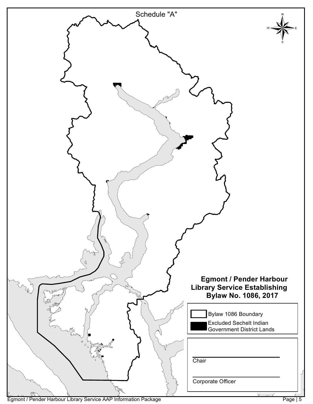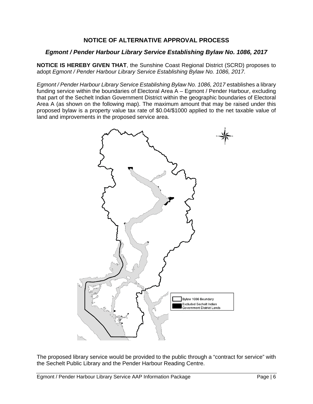#### **NOTICE OF ALTERNATIVE APPROVAL PROCESS**

#### *Egmont / Pender Harbour Library Service Establishing Bylaw No. 1086, 2017*

**NOTICE IS HEREBY GIVEN THAT**, the Sunshine Coast Regional District (SCRD) proposes to adopt *Egmont / Pender Harbour Library Service Establishing Bylaw No. 1086, 2017.* 

*Egmont / Pender Harbour Library Service Establishing Bylaw No. 1086, 2017 establishes a library* funding service within the boundaries of Electoral Area A – Egmont / Pender Harbour, excluding that part of the Sechelt Indian Government District within the geographic boundaries of Electoral Area A (as shown on the following map). The maximum amount that may be raised under this proposed bylaw is a property value tax rate of \$0.04/\$1000 applied to the net taxable value of land and improvements in the proposed service area.



The proposed library service would be provided to the public through a "contract for service" with the Sechelt Public Library and the Pender Harbour Reading Centre.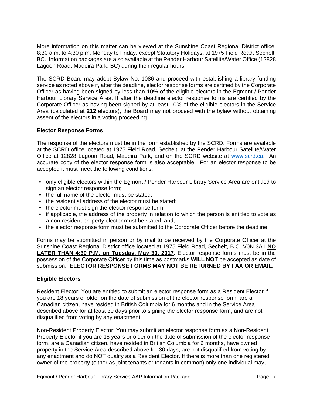More information on this matter can be viewed at the Sunshine Coast Regional District office, 8:30 a.m. to 4:30 p.m. Monday to Friday, except Statutory Holidays, at 1975 Field Road, Sechelt, BC. Information packages are also available at the Pender Harbour Satellite/Water Office (12828 Lagoon Road, Madeira Park, BC) during their regular hours.

The SCRD Board may adopt Bylaw No. 1086 and proceed with establishing a library funding service as noted above if, after the deadline, elector response forms are certified by the Corporate Officer as having been signed by less than 10% of the eligible electors in the Egmont / Pender Harbour Library Service Area. If after the deadline elector response forms are certified by the Corporate Officer as having been signed by at least 10% of the eligible electors in the Service Area (calculated at **212** electors), the Board may not proceed with the bylaw without obtaining assent of the electors in a voting proceeding.

#### **Elector Response Forms**

The response of the electors must be in the form established by the SCRD. Forms are available at the SCRD office located at 1975 Field Road, Sechelt, at the Pender Harbour Satellite/Water Office at 12828 Lagoon Road, Madeira Park, and on the SCRD website at www.scrd.ca. An accurate copy of the elector response form is also acceptable. For an elector response to be accepted it must meet the following conditions:

- only eligible electors within the Egmont / Pender Harbour Library Service Area are entitled to sign an elector response form;
- the full name of the elector must be stated;
- the residential address of the elector must be stated;
- the elector must sign the elector response form;
- if applicable, the address of the property in relation to which the person is entitled to vote as a non-resident property elector must be stated; and,
- the elector response form must be submitted to the Corporate Officer before the deadline.

Forms may be submitted in person or by mail to be received by the Corporate Officer at the Sunshine Coast Regional District office located at 1975 Field Road, Sechelt, B.C. V0N 3A1 **NO LATER THAN 4:30 P.M. on Tuesday, May 30, 2017**. Elector response forms must be in the possession of the Corporate Officer by this time as postmarks **WILL NOT** be accepted as date of submission. **ELECTOR RESPONSE FORMS MAY NOT BE RETURNED BY FAX OR EMAIL.** 

#### **Eligible Electors**

Resident Elector: You are entitled to submit an elector response form as a Resident Elector if you are 18 years or older on the date of submission of the elector response form, are a Canadian citizen, have resided in British Columbia for 6 months and in the Service Area described above for at least 30 days prior to signing the elector response form, and are not disqualified from voting by any enactment.

Non-Resident Property Elector: You may submit an elector response form as a Non-Resident Property Elector if you are 18 years or older on the date of submission of the elector response form, are a Canadian citizen, have resided in British Columbia for 6 months, have owned property in the Service Area described above for 30 days; are not disqualified from voting by any enactment and do NOT qualify as a Resident Elector. If there is more than one registered owner of the property (either as joint tenants or tenants in common) only one individual may,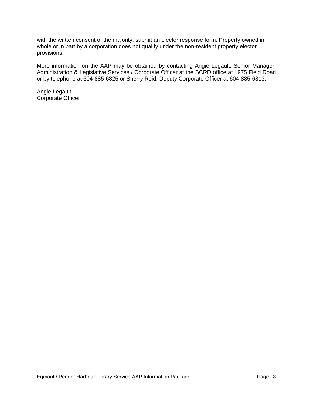with the written consent of the majority, submit an elector response form. Property owned in whole or in part by a corporation does not qualify under the non-resident property elector provisions.

More information on the AAP may be obtained by contacting Angie Legault, Senior Manager, Administration & Legislative Services / Corporate Officer at the SCRD office at 1975 Field Road or by telephone at 604-885-6825 or Sherry Reid, Deputy Corporate Officer at 604-885-6813.

Angie Legault Corporate Officer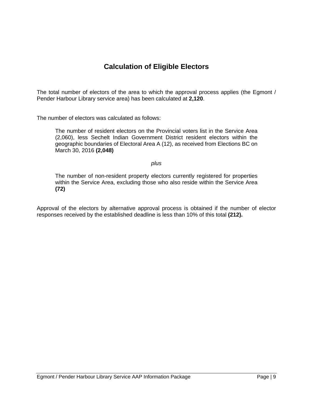# **Calculation of Eligible Electors**

The total number of electors of the area to which the approval process applies (the Egmont / Pender Harbour Library service area) has been calculated at **2,120**.

The number of electors was calculated as follows:

The number of resident electors on the Provincial voters list in the Service Area (2,060), less Sechelt Indian Government District resident electors within the geographic boundaries of Electoral Area A (12), as received from Elections BC on March 30, 2016 **(2,048)** 

*plus* 

The number of non-resident property electors currently registered for properties within the Service Area, excluding those who also reside within the Service Area **(72)**

Approval of the electors by alternative approval process is obtained if the number of elector responses received by the established deadline is less than 10% of this total **(212).**